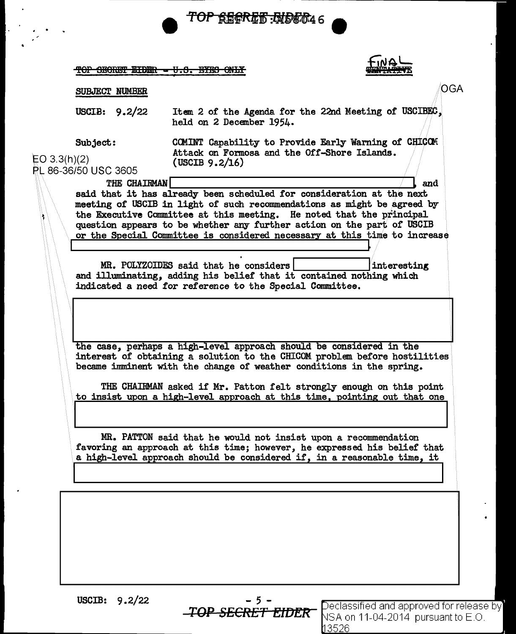| SUBJECT NUMBER<br>USCIB: $9.2/22$<br>Item 2 of the Agenda for the 22nd Meeting of USCIBEC,<br>held on 2 December 1954.<br>COMINT Capability to Provide Early Warning of CHICOM<br>Subject:<br>Attack on Formosa and the Off-Shore Islands.<br>EO 3.3(h)(2)<br>(USCIB $9.2/16$ )<br>PL 86-36/50 USC 3605<br>THE CHAIRMAN<br>and<br>said that it has already been scheduled for consideration at the next<br>meeting of USCIB in light of such recommendations as might be agreed by<br>the Executive Committee at this meeting. He noted that the principal<br>question appears to be whether any further action on the part of USCIB<br>or the Special Committee is considered necessary at this time to increase<br>MR. POLYZOIDES said that he considers<br>interesting<br>and illuminating, adding his belief that it contained nothing which<br>indicated a need for reference to the Special Committee.<br>the case, perhaps a high-level approach should be considered in the<br>interest of obtaining a solution to the CHICOM problem before hostilities<br>became imminent with the change of weather conditions in the spring.<br>THE CHAIRMAN asked if Mr. Patton felt strongly enough on this point<br>to insist upon a high-level approach at this time, pointing out that one<br>MR. PATTON said that he would not insist upon a recommendation<br>favoring an approach at this time; however, he expressed his belief that<br>a high-level approach should be considered if, in a reasonable time, it | <b>TOP SECRET EIDER = U.S. EYES ONLY</b> |  |
|----------------------------------------------------------------------------------------------------------------------------------------------------------------------------------------------------------------------------------------------------------------------------------------------------------------------------------------------------------------------------------------------------------------------------------------------------------------------------------------------------------------------------------------------------------------------------------------------------------------------------------------------------------------------------------------------------------------------------------------------------------------------------------------------------------------------------------------------------------------------------------------------------------------------------------------------------------------------------------------------------------------------------------------------------------------------------------------------------------------------------------------------------------------------------------------------------------------------------------------------------------------------------------------------------------------------------------------------------------------------------------------------------------------------------------------------------------------------------------------------------------------------|------------------------------------------|--|
|                                                                                                                                                                                                                                                                                                                                                                                                                                                                                                                                                                                                                                                                                                                                                                                                                                                                                                                                                                                                                                                                                                                                                                                                                                                                                                                                                                                                                                                                                                                      |                                          |  |
|                                                                                                                                                                                                                                                                                                                                                                                                                                                                                                                                                                                                                                                                                                                                                                                                                                                                                                                                                                                                                                                                                                                                                                                                                                                                                                                                                                                                                                                                                                                      |                                          |  |
|                                                                                                                                                                                                                                                                                                                                                                                                                                                                                                                                                                                                                                                                                                                                                                                                                                                                                                                                                                                                                                                                                                                                                                                                                                                                                                                                                                                                                                                                                                                      |                                          |  |
|                                                                                                                                                                                                                                                                                                                                                                                                                                                                                                                                                                                                                                                                                                                                                                                                                                                                                                                                                                                                                                                                                                                                                                                                                                                                                                                                                                                                                                                                                                                      |                                          |  |
|                                                                                                                                                                                                                                                                                                                                                                                                                                                                                                                                                                                                                                                                                                                                                                                                                                                                                                                                                                                                                                                                                                                                                                                                                                                                                                                                                                                                                                                                                                                      |                                          |  |
|                                                                                                                                                                                                                                                                                                                                                                                                                                                                                                                                                                                                                                                                                                                                                                                                                                                                                                                                                                                                                                                                                                                                                                                                                                                                                                                                                                                                                                                                                                                      |                                          |  |
|                                                                                                                                                                                                                                                                                                                                                                                                                                                                                                                                                                                                                                                                                                                                                                                                                                                                                                                                                                                                                                                                                                                                                                                                                                                                                                                                                                                                                                                                                                                      |                                          |  |
|                                                                                                                                                                                                                                                                                                                                                                                                                                                                                                                                                                                                                                                                                                                                                                                                                                                                                                                                                                                                                                                                                                                                                                                                                                                                                                                                                                                                                                                                                                                      |                                          |  |

USCIB:  $9.2/22$ <br>-TOP SECRET EIDER

Í.

TOP SECRET EIDER Peclassified and approved for release by **Fig. 2.1.**<br>SA on 11-04-2014 pursuant to E.O. <u>3526 </u>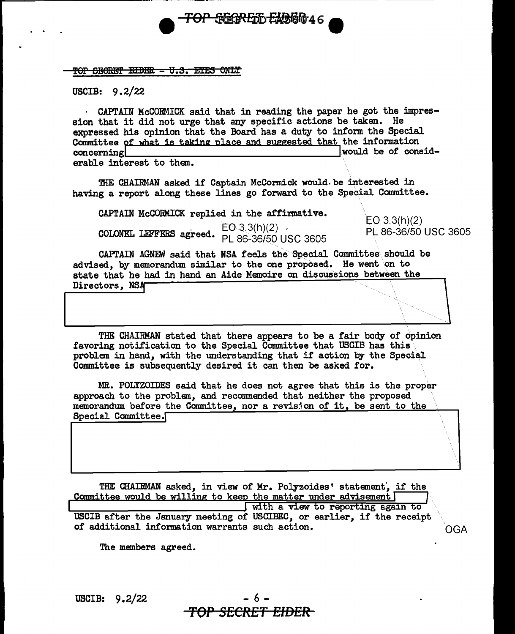

USCIB: 9. 2/22

· CAPTAIN McCORMICK said that in reading the paper he got the impression that it did not urge that any specific actions be taken. He expressed his opinion that the Board has a duty to inform the Special Committee of what is taking place and suggested that the information concerning concerning !would be *ot* considerable interest to them.

<del>TOP SEGRET ENGE</del>MAT

THE CHAIRMAN asked if Captain McCormick would. be interested in having a report along these lines go forward to the Special Committee.

CAPTAIN McCORMICK replied in the affirmative.  $EO(3.3(h)(2)$  . EO 3.3(h)(2) . EO 3.3(h)(2) **COLONEL LEFFERS agreed.**  $PL86-36/50$  USC 3605 PL 86-36/50 USC 3605

 $\overline{\mathcal{L}}$ 

CAPTAIN AGNEW said that NSA feels the Special Committee should be advised, by memorandum similar to the one proposed. He went on to state that he had in hand an Aide Memoire on discussions between the Directors, NSA

THE CHAIRMAN stated that there appears to be a fair body of opinion favoring notification to the Special Committee that USCIB has this problem in hand, with the understanding that if action by the Special Committee is subsequently desired it can then be asked for.

MR. POLYZOIDES said that he does not agree that this is the proper approach to the problem, and recommended that neither the proposed memorandum before the Committee, nor a revision of it, be sent to the Special Committee.

THE CHAIRMAN asked, in view of Mr. Polyzoides' statement, if the Committee would be willing to keep the matter under advisement with a view to reporting again to USCIB after the January meeting of USCIBEC, or earlier, if the receipt of additional information warrants such action. OGA

The members agreed.

USCIB:  $9.2/22$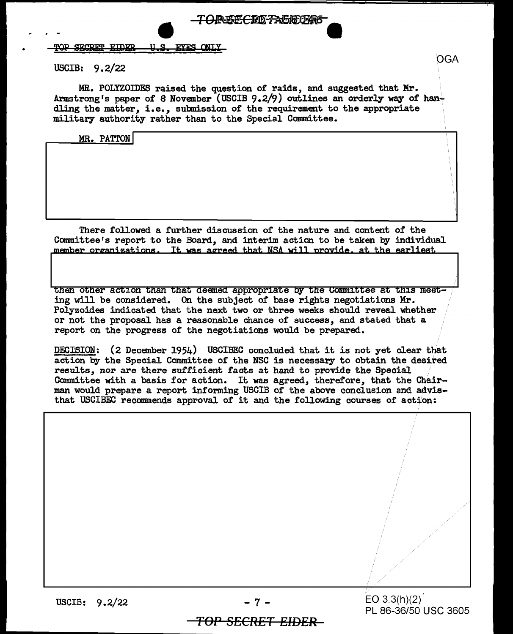#### TOP SECRET EIDER **U.S. EYES ONLY**

### USCIB: 9.2/22

MR. POLYZOIDES raised the question of raids, and suggested that Mr. Armstrong's paper of 8 November (USCIB 9.2/9) outlines an orderly way of handling the matter, i.e., submission of the requirement to the appropriate military authority rather than to the Special Committee.

**FOREECRE-FA5180746** 

## MR. PATTON

There followed a further discussion of' the nature and content of the Committee's report to the Board, and interim action to be taken by individual member organizations. It was agreed that NSA will provide, at the earliest

then other action than that deemed appropriate by the Committee at this meet-<br>ing will be considered. On the subject of base rights negotiations Mr. Polyzoides indicated that the next two or three weeks should reveal whether or not the proposal has a reasonable chance of success, and stated that a report on the progress of the negotiations would be prepared.

DECISION: (2 December 1954) USCIBEC concluded that it is not yet clear that action by the Special Committee of the NSC is necessary to obtain the desired results, nor are there sufficient facts at hand to provide the Special Committee with a basis for action. It was agreed, therefore, that the Chairman would prepare a report informing USCIB of the above conclusion and advisthat USCIBEC recommends approval of it and the following courses of action:

USCIB: 9.2/22

 $-7 -$  EO 3.3(h)(2) PL 86-36/50 USC 3605

# *TOP SECRET EIDER*

OGA